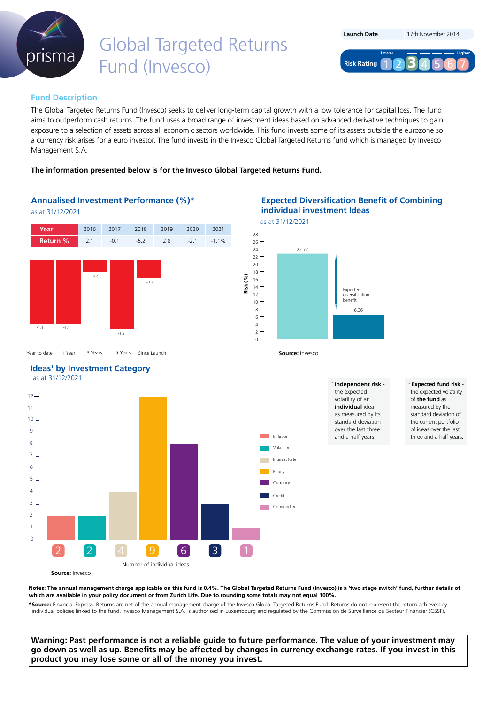

# Global Targeted Returns Fund (Invesco)

| <b>Launch Date</b> | 17th November 2014 |
|--------------------|--------------------|
| <b>Lower</b>       | <b>Higher</b>      |
| <b>Risk Rating</b> | 234                |

# **Fund Description**

The Global Targeted Returns Fund (Invesco) seeks to deliver long-term capital growth with a low tolerance for capital loss. The fund aims to outperform cash returns. The fund uses a broad range of investment ideas based on advanced derivative techniques to gain exposure to a selection of assets across all economic sectors worldwide. This fund invests some of its assets outside the eurozone so a currency risk arises for a euro investor. The fund invests in the Invesco Global Targeted Returns fund which is managed by Invesco Management S.A.

## **The information presented below is for the Invesco Global Targeted Returns Fund.**

## **Annualised Investment Performance (%)\***

as at 31/12/2021



**Ideas<sup>1</sup>** by Investment Category

**Source:** Invesco

 $\Omega$ 

## **Expected Diversification Benefit of Combining individual investment Ideas**

as at 31/12/2021



**Source:** Invesco

Inflation Volatility Interest Rates Equity

Credit

Currency

Commodity

<sup>1</sup>**Independent risk** the expected volatility of an **individual** idea as measured by its standard deviation over the last three and a half years.

<sup>2</sup> **Expected fund risk** the expected volatility of **the fund** as measured by the standard deviation of the current portfolio of ideas over the last three and a half years.



Number of individual ideas

2 2 4 9 6 3 1

**Notes: The annual management charge applicable on this fund is 0.4%. The Global Targeted Returns Fund (Invesco) is a 'two stage switch' fund, further details of which are available in your policy document or from Zurich Life. Due to rounding some totals may not equal 100%.**

**\*Source:** Financial Express. Returns are net of the annual management charge of the Invesco Global Targeted Returns Fund. Returns do not represent the return achieved by individual policies linked to the fund. Invesco Management S.A. is authorised in Luxembourg and regulated by the Commission de Surveillance du Secteur Financier (CSSF).

**Warning: Past performance is not a reliable guide to future performance. The value of your investment may go down as well as up. Benefits may be affected by changes in currency exchange rates. If you invest in this product you may lose some or all of the money you invest.**